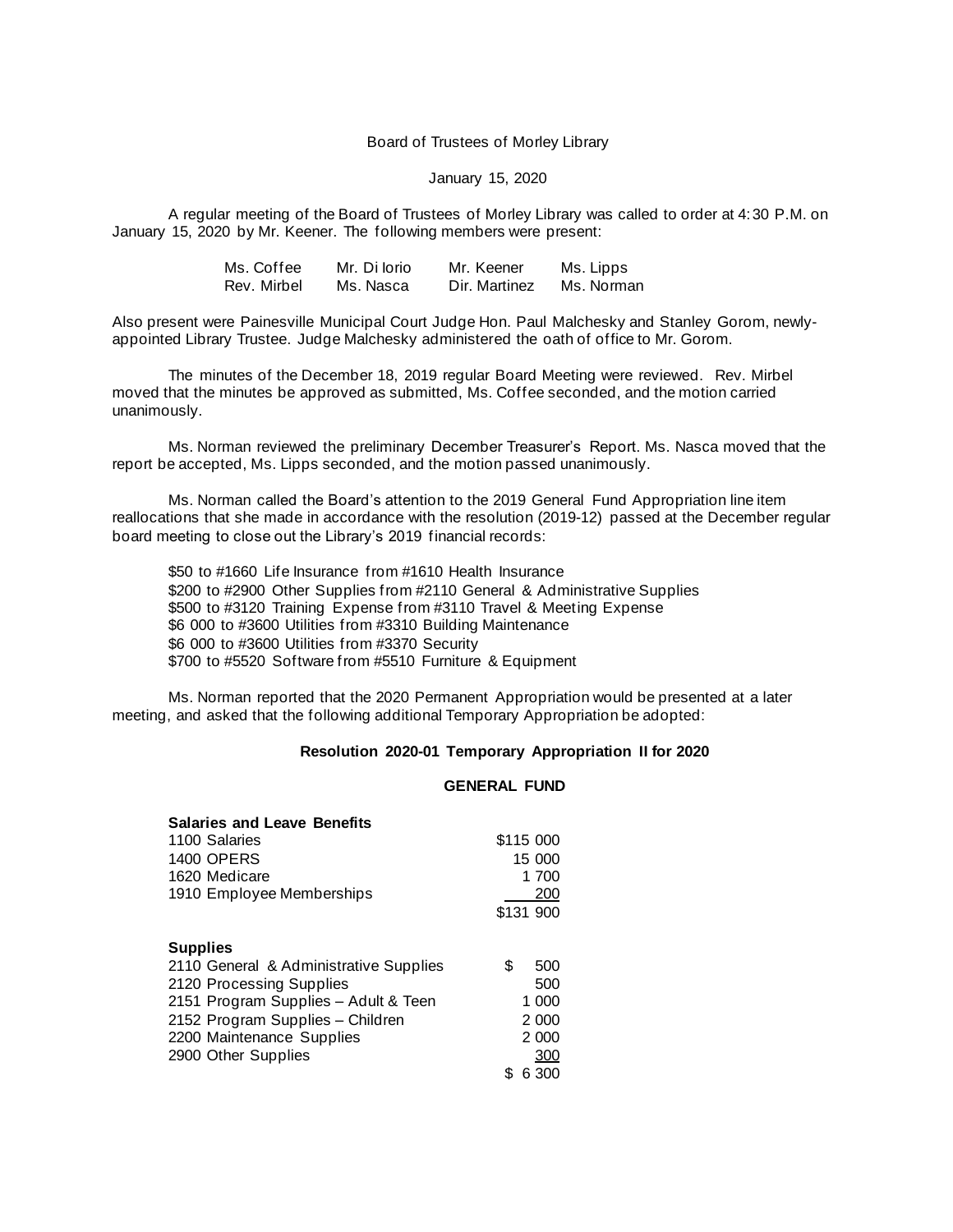#### Board of Trustees of Morley Library

#### January 15, 2020

A regular meeting of the Board of Trustees of Morley Library was called to order at 4:30 P.M. on January 15, 2020 by Mr. Keener. The following members were present:

| Ms. Coffee  | Mr. Di Iorio | Mr. Keener    | Ms. Lipps  |
|-------------|--------------|---------------|------------|
| Rev. Mirbel | Ms. Nasca    | Dir. Martinez | Ms. Norman |

Also present were Painesville Municipal Court Judge Hon. Paul Malchesky and Stanley Gorom, newlyappointed Library Trustee. Judge Malchesky administered the oath of office to Mr. Gorom.

The minutes of the December 18, 2019 regular Board Meeting were reviewed. Rev. Mirbel moved that the minutes be approved as submitted, Ms. Coffee seconded, and the motion carried unanimously.

Ms. Norman reviewed the preliminary December Treasurer's Report. Ms. Nasca moved that the report be accepted, Ms. Lipps seconded, and the motion passed unanimously.

Ms. Norman called the Board's attention to the 2019 General Fund Appropriation line item reallocations that she made in accordance with the resolution (2019-12) passed at the December regular board meeting to close out the Library's 2019 financial records:

\$50 to #1660 Life Insurance from #1610 Health Insurance \$200 to #2900 Other Supplies from #2110 General & Administrative Supplies \$500 to #3120 Training Expense from #3110 Travel & Meeting Expense \$6 000 to #3600 Utilities from #3310 Building Maintenance \$6 000 to #3600 Utilities from #3370 Security \$700 to #5520 Software from #5510 Furniture & Equipment

Ms. Norman reported that the 2020 Permanent Appropriation would be presented at a later meeting, and asked that the following additional Temporary Appropriation be adopted:

#### **Resolution 2020-01 Temporary Appropriation II for 2020**

# **GENERAL FUND**

| <b>Salaries and Leave Benefits</b>     |           |
|----------------------------------------|-----------|
| 1100 Salaries                          | \$115 000 |
| <b>1400 OPERS</b>                      | 15 000    |
| 1620 Medicare                          | 1 700     |
| 1910 Employee Memberships              | 200       |
|                                        | \$131 900 |
| <b>Supplies</b>                        |           |
| 2110 General & Administrative Supplies | \$<br>500 |
| 2120 Processing Supplies               | 500       |
| 2151 Program Supplies - Adult & Teen   | 1 000     |
| 2152 Program Supplies - Children       | 2 0 0 0   |
| 2200 Maintenance Supplies              | 2 0 0 0   |
| 2900 Other Supplies                    | 300       |
|                                        | 6 300     |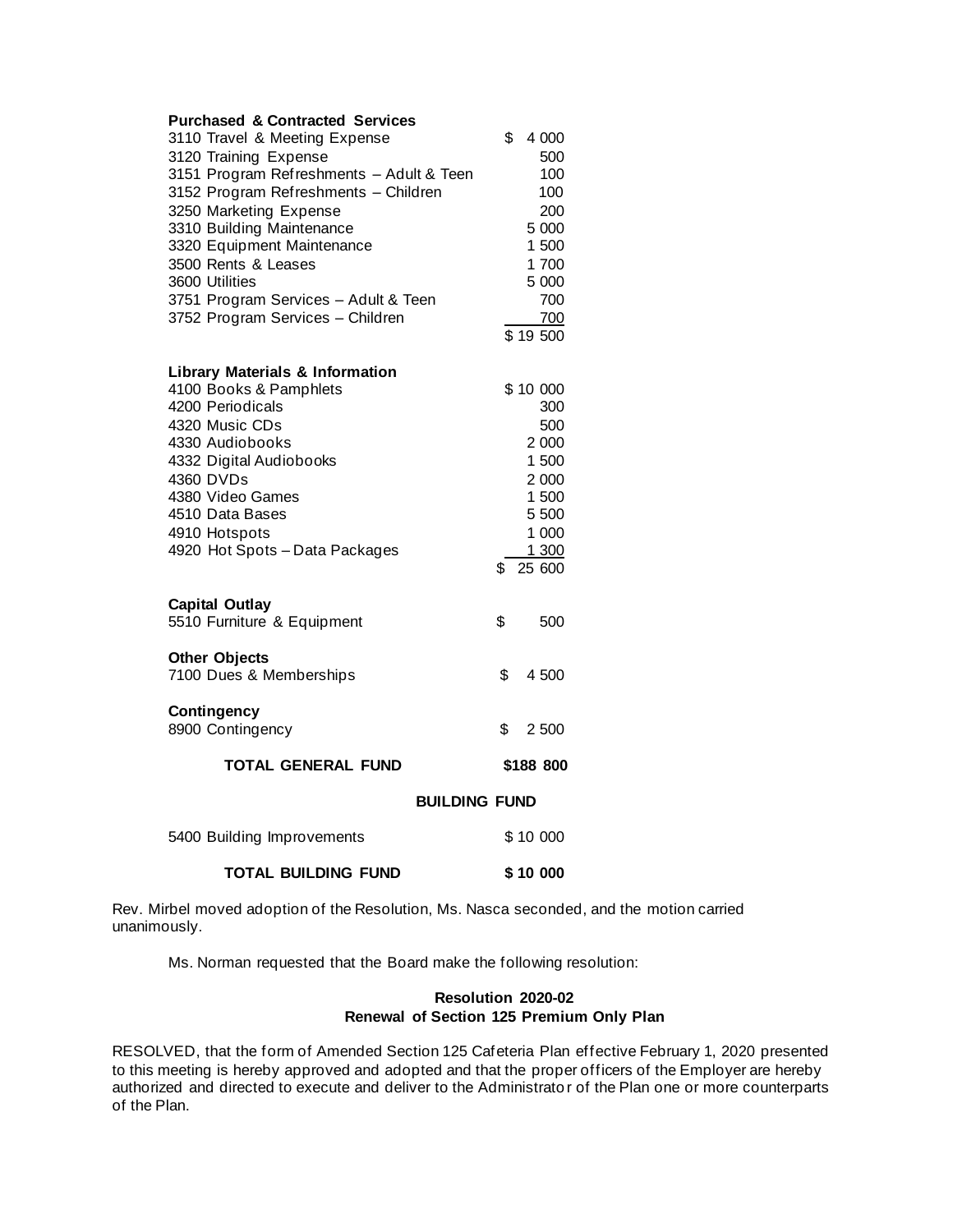| <b>Purchased &amp; Contracted Services</b><br>3110 Travel & Meeting Expense<br>3120 Training Expense<br>3151 Program Refreshments - Adult & Teen<br>3152 Program Refreshments - Children<br>3250 Marketing Expense<br>3310 Building Maintenance<br>3320 Equipment Maintenance<br>3500 Rents & Leases<br>3600 Utilities<br>3751 Program Services - Adult & Teen<br>3752 Program Services - Children | \$<br>4 000<br>500<br>100<br>100<br>200<br>5 0 0 0<br>1 500<br>1 700<br>5 000<br>700<br>700<br>\$19500 |
|----------------------------------------------------------------------------------------------------------------------------------------------------------------------------------------------------------------------------------------------------------------------------------------------------------------------------------------------------------------------------------------------------|--------------------------------------------------------------------------------------------------------|
| <b>Library Materials &amp; Information</b><br>4100 Books & Pamphlets<br>4200 Periodicals<br>4320 Music CDs<br>4330 Audiobooks<br>4332 Digital Audiobooks<br>4360 DVDs<br>4380 Video Games<br>4510 Data Bases<br>4910 Hotspots<br>4920 Hot Spots - Data Packages                                                                                                                                    | \$10 000<br>300<br>500<br>2 000<br>1 500<br>2 000<br>1 500<br>5 500<br>1 000<br>1 300<br>\$<br>25 600  |
| <b>Capital Outlay</b><br>5510 Furniture & Equipment                                                                                                                                                                                                                                                                                                                                                | \$<br>500                                                                                              |
| <b>Other Objects</b><br>7100 Dues & Memberships                                                                                                                                                                                                                                                                                                                                                    | \$<br>4 500                                                                                            |
| <b>Contingency</b><br>8900 Contingency                                                                                                                                                                                                                                                                                                                                                             | \$<br>2 500                                                                                            |
| <b>TOTAL GENERAL FUND</b>                                                                                                                                                                                                                                                                                                                                                                          | \$188 800                                                                                              |
| <b>BUILDING FUND</b>                                                                                                                                                                                                                                                                                                                                                                               |                                                                                                        |
| 5400 Building Improvements                                                                                                                                                                                                                                                                                                                                                                         | \$10 000                                                                                               |
| <b>TOTAL BUILDING FUND</b>                                                                                                                                                                                                                                                                                                                                                                         | \$10 000                                                                                               |

Rev. Mirbel moved adoption of the Resolution, Ms. Nasca seconded, and the motion carried unanimously.

Ms. Norman requested that the Board make the following resolution:

# **Resolution 2020-02 Renewal of Section 125 Premium Only Plan**

RESOLVED, that the form of Amended Section 125 Cafeteria Plan effective February 1, 2020 presented to this meeting is hereby approved and adopted and that the proper officers of the Employer are hereby authorized and directed to execute and deliver to the Administrato r of the Plan one or more counterparts of the Plan.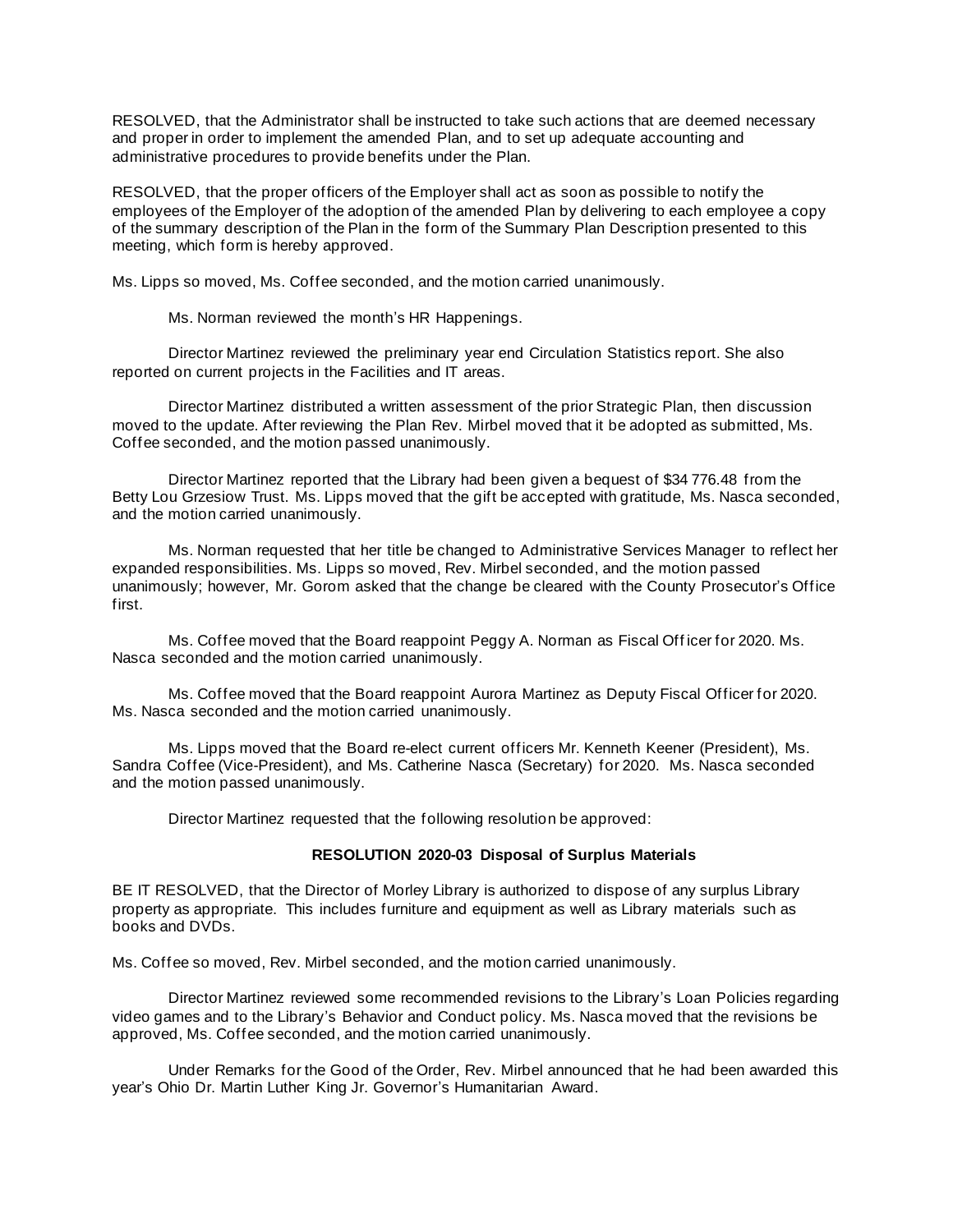RESOLVED, that the Administrator shall be instructed to take such actions that are deemed necessary and proper in order to implement the amended Plan, and to set up adequate accounting and administrative procedures to provide benefits under the Plan.

RESOLVED, that the proper officers of the Employer shall act as soon as possible to notify the employees of the Employer of the adoption of the amended Plan by delivering to each employee a copy of the summary description of the Plan in the form of the Summary Plan Description presented to this meeting, which form is hereby approved.

Ms. Lipps so moved, Ms. Coffee seconded, and the motion carried unanimously.

Ms. Norman reviewed the month's HR Happenings.

Director Martinez reviewed the preliminary year end Circulation Statistics report. She also reported on current projects in the Facilities and IT areas.

Director Martinez distributed a written assessment of the prior Strategic Plan, then discussion moved to the update. After reviewing the Plan Rev. Mirbel moved that it be adopted as submitted, Ms. Coffee seconded, and the motion passed unanimously.

Director Martinez reported that the Library had been given a bequest of \$34 776.48 from the Betty Lou Grzesiow Trust. Ms. Lipps moved that the gift be accepted with gratitude, Ms. Nasca seconded, and the motion carried unanimously.

Ms. Norman requested that her title be changed to Administrative Services Manager to reflect her expanded responsibilities. Ms. Lipps so moved, Rev. Mirbel seconded, and the motion passed unanimously; however, Mr. Gorom asked that the change be cleared with the County Prosecutor's Office first.

Ms. Coffee moved that the Board reappoint Peggy A. Norman as Fiscal Off icer for 2020. Ms. Nasca seconded and the motion carried unanimously.

Ms. Coffee moved that the Board reappoint Aurora Martinez as Deputy Fiscal Officer for 2020. Ms. Nasca seconded and the motion carried unanimously.

Ms. Lipps moved that the Board re-elect current officers Mr. Kenneth Keener (President), Ms. Sandra Coffee (Vice-President), and Ms. Catherine Nasca (Secretary) for 2020. Ms. Nasca seconded and the motion passed unanimously.

Director Martinez requested that the following resolution be approved:

## **RESOLUTION 2020-03 Disposal of Surplus Materials**

BE IT RESOLVED, that the Director of Morley Library is authorized to dispose of any surplus Library property as appropriate. This includes furniture and equipment as well as Library materials such as books and DVDs.

Ms. Coffee so moved, Rev. Mirbel seconded, and the motion carried unanimously.

Director Martinez reviewed some recommended revisions to the Library's Loan Policies regarding video games and to the Library's Behavior and Conduct policy. Ms. Nasca moved that the revisions be approved, Ms. Coffee seconded, and the motion carried unanimously.

Under Remarks for the Good of the Order, Rev. Mirbel announced that he had been awarded this year's Ohio Dr. Martin Luther King Jr. Governor's Humanitarian Award.